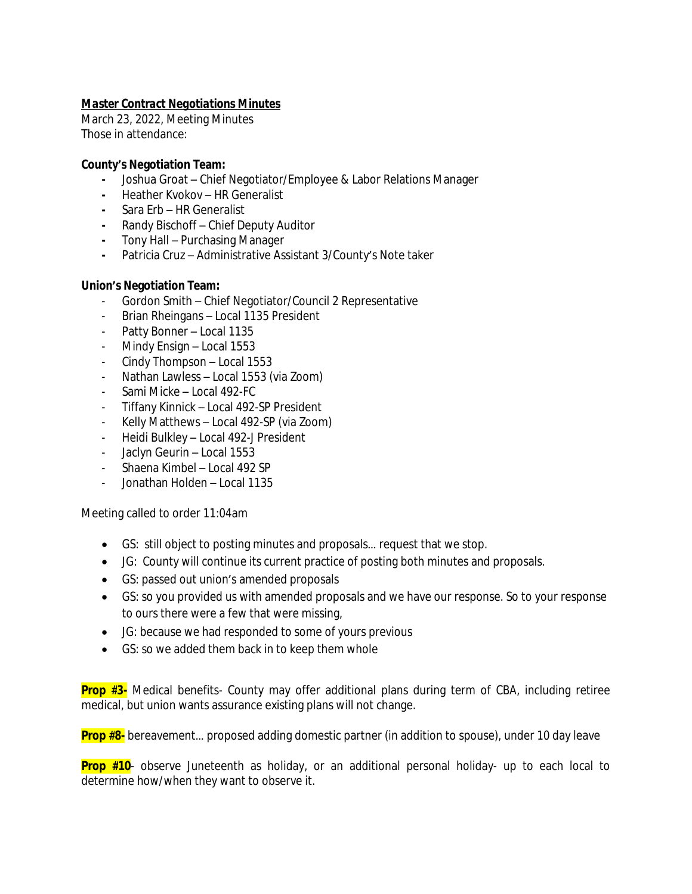# *Master Contract Negotiations Minutes*

March 23, 2022, Meeting Minutes Those in attendance:

## **County's Negotiation Team:**

- **-** Joshua Groat Chief Negotiator/Employee & Labor Relations Manager
- **-** Heather Kvokov HR Generalist
- **-** Sara Erb HR Generalist
- **-** Randy Bischoff Chief Deputy Auditor
- **-** Tony Hall Purchasing Manager
- **-** Patricia Cruz Administrative Assistant 3/County's Note taker

## **Union's Negotiation Team:**

- Gordon Smith Chief Negotiator/Council 2 Representative
- Brian Rheingans Local 1135 President
- Patty Bonner Local 1135
- Mindy Ensign Local 1553
- Cindy Thompson Local 1553
- Nathan Lawless Local 1553 (via Zoom)
- Sami Micke Local 492-FC
- Tiffany Kinnick Local 492-SP President
- Kelly Matthews Local 492-SP (via Zoom)
- Heidi Bulkley Local 492-J President
- Jaclyn Geurin Local 1553
- Shaena Kimbel Local 492 SP
- Jonathan Holden Local 1135

Meeting called to order 11:04am

- GS: still object to posting minutes and proposals… request that we stop.
- JG: County will continue its current practice of posting both minutes and proposals.
- GS: passed out union's amended proposals
- GS: so you provided us with amended proposals and we have our response. So to your response to ours there were a few that were missing,
- JG: because we had responded to some of yours previous
- GS: so we added them back in to keep them whole

**Prop #3-** Medical benefits- County may offer additional plans during term of CBA, including retiree medical, but union wants assurance existing plans will not change.

**Prop #8-** bereavement… proposed adding domestic partner (in addition to spouse), under 10 day leave

**Prop #10**- observe Juneteenth as holiday, or an additional personal holiday- up to each local to determine how/when they want to observe it.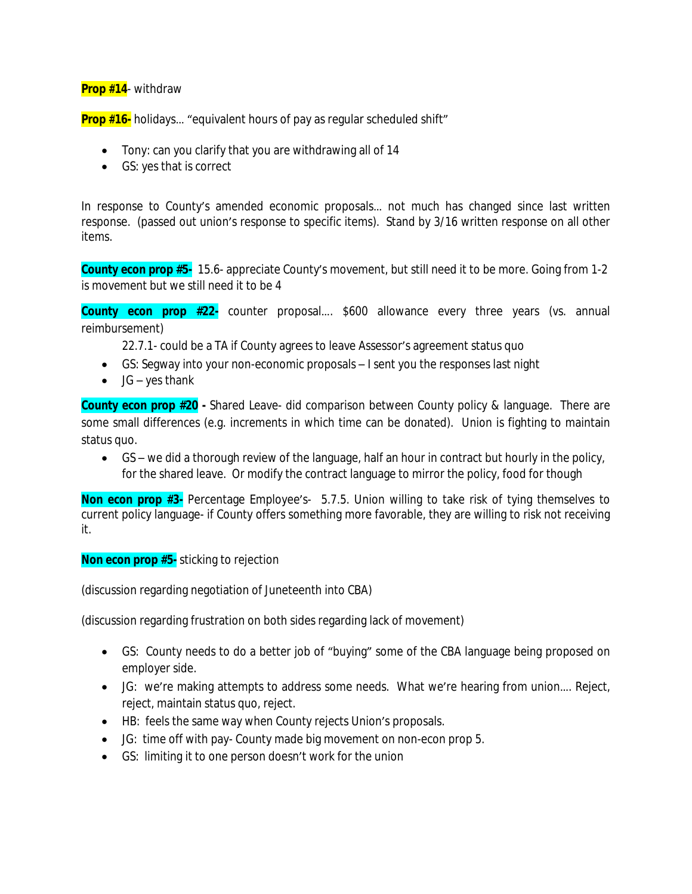## **Prop #14**- withdraw

**Prop #16-** holidays... "equivalent hours of pay as regular scheduled shift"

- Tony: can you clarify that you are withdrawing all of 14
- GS: yes that is correct

In response to County's amended economic proposals… not much has changed since last written response. (passed out union's response to specific items). Stand by 3/16 written response on all other items.

**County econ prop #5-** 15.6- appreciate County's movement, but still need it to be more. Going from 1-2 is movement but we still need it to be 4

**County econ prop #22-** counter proposal…. \$600 allowance every three years (vs. annual reimbursement)

22.7.1- could be a TA if County agrees to leave Assessor's agreement status quo

- GS: Segway into your non-economic proposals I sent you the responses last night
- $\bullet$  JG yes thank

**County econ prop #20 -** Shared Leave- did comparison between County policy & language. There are some small differences (e.g. increments in which time can be donated). Union is fighting to maintain status quo.

 GS – we did a thorough review of the language, half an hour in contract but hourly in the policy, for the shared leave. Or modify the contract language to mirror the policy, food for though

**Non econ prop #3-** Percentage Employee's- 5.7.5. Union willing to take risk of tying themselves to current policy language- if County offers something more favorable, they are willing to risk not receiving it.

**Non econ prop #5-** sticking to rejection

(discussion regarding negotiation of Juneteenth into CBA)

(discussion regarding frustration on both sides regarding lack of movement)

- GS: County needs to do a better job of "buying" some of the CBA language being proposed on employer side.
- JG: we're making attempts to address some needs. What we're hearing from union…. Reject, reject, maintain status quo, reject.
- HB: feels the same way when County rejects Union's proposals.
- JG: time off with pay- County made big movement on non-econ prop 5.
- GS: limiting it to one person doesn't work for the union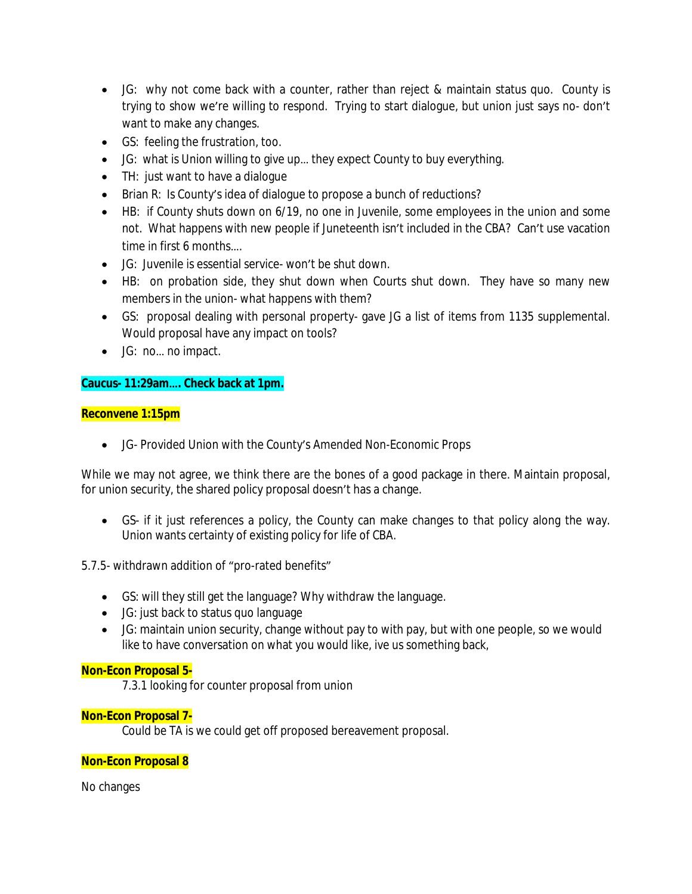- JG: why not come back with a counter, rather than reject & maintain status quo. County is trying to show we're willing to respond. Trying to start dialogue, but union just says no- don't want to make any changes.
- GS: feeling the frustration, too.
- JG: what is Union willing to give up… they expect County to buy everything.
- TH: just want to have a dialoque
- Brian R: Is County's idea of dialogue to propose a bunch of reductions?
- HB: if County shuts down on 6/19, no one in Juvenile, some employees in the union and some not. What happens with new people if Juneteenth isn't included in the CBA? Can't use vacation time in first 6 months….
- JG: Juvenile is essential service- won't be shut down.
- HB: on probation side, they shut down when Courts shut down. They have so many new members in the union- what happens with them?
- GS: proposal dealing with personal property- gave JG a list of items from 1135 supplemental. Would proposal have any impact on tools?
- JG: no… no impact.

## **Caucus- 11:29am…. Check back at 1pm.**

### **Reconvene 1:15pm**

JG- Provided Union with the County's Amended Non-Economic Props

While we may not agree, we think there are the bones of a good package in there. Maintain proposal, for union security, the shared policy proposal doesn't has a change.

 GS- if it just references a policy, the County can make changes to that policy along the way. Union wants certainty of existing policy for life of CBA.

# 5.7.5- withdrawn addition of "pro-rated benefits"

- GS: will they still get the language? Why withdraw the language.
- JG: just back to status quo language
- JG: maintain union security, change without pay to with pay, but with one people, so we would like to have conversation on what you would like, ive us something back,

### **Non-Econ Proposal 5-**

7.3.1 looking for counter proposal from union

### **Non-Econ Proposal 7-**

Could be TA is we could get off proposed bereavement proposal.

# **Non-Econ Proposal 8**

No changes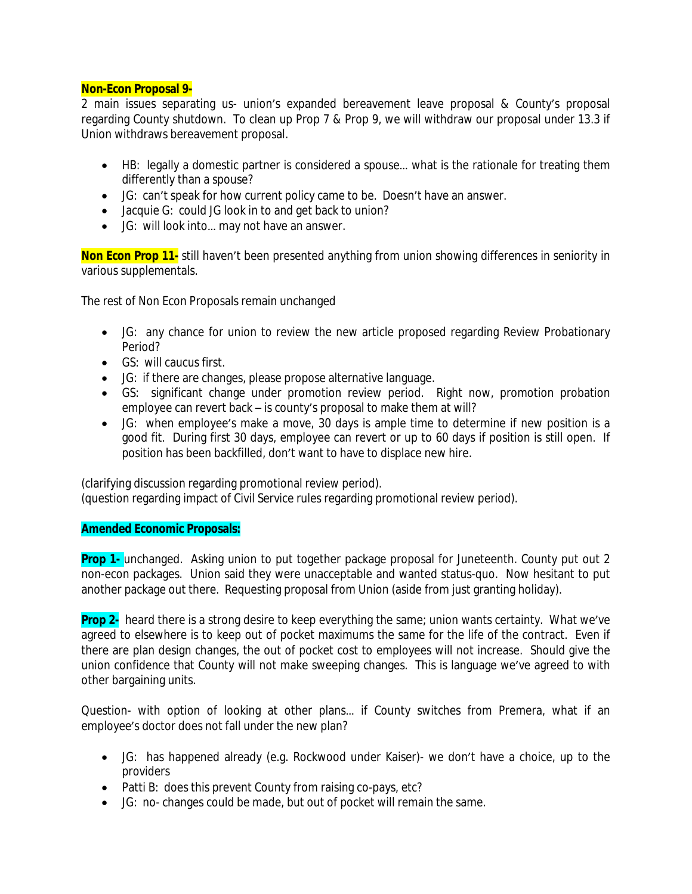### **Non-Econ Proposal 9-**

2 main issues separating us- union's expanded bereavement leave proposal & County's proposal regarding County shutdown. To clean up Prop 7 & Prop 9, we will withdraw our proposal under 13.3 if Union withdraws bereavement proposal.

- HB: legally a domestic partner is considered a spouse… what is the rationale for treating them differently than a spouse?
- JG: can't speak for how current policy came to be. Doesn't have an answer.
- Jacquie G: could JG look in to and get back to union?
- JG: will look into... may not have an answer.

**Non Econ Prop 11-** still haven't been presented anything from union showing differences in seniority in various supplementals.

The rest of Non Econ Proposals remain unchanged

- JG: any chance for union to review the new article proposed regarding Review Probationary Period?
- $\bullet$  GS: will caucus first.
- JG: if there are changes, please propose alternative language.
- GS: significant change under promotion review period. Right now, promotion probation employee can revert back – is county's proposal to make them at will?
- JG: when employee's make a move, 30 days is ample time to determine if new position is a good fit. During first 30 days, employee can revert or up to 60 days if position is still open. If position has been backfilled, don't want to have to displace new hire.

(clarifying discussion regarding promotional review period).

(question regarding impact of Civil Service rules regarding promotional review period).

### **Amended Economic Proposals:**

**Prop 1-** unchanged. Asking union to put together package proposal for Juneteenth. County put out 2 non-econ packages. Union said they were unacceptable and wanted status-quo. Now hesitant to put another package out there. Requesting proposal from Union (aside from just granting holiday).

**Prop 2-** heard there is a strong desire to keep everything the same; union wants certainty. What we've agreed to elsewhere is to keep out of pocket maximums the same for the life of the contract. Even if there are plan design changes, the out of pocket cost to employees will not increase. Should give the union confidence that County will not make sweeping changes. This is language we've agreed to with other bargaining units.

Question- with option of looking at other plans… if County switches from Premera, what if an employee's doctor does not fall under the new plan?

- JG: has happened already (e.g. Rockwood under Kaiser)- we don't have a choice, up to the providers
- Patti B: does this prevent County from raising co-pays, etc?
- JG: no- changes could be made, but out of pocket will remain the same.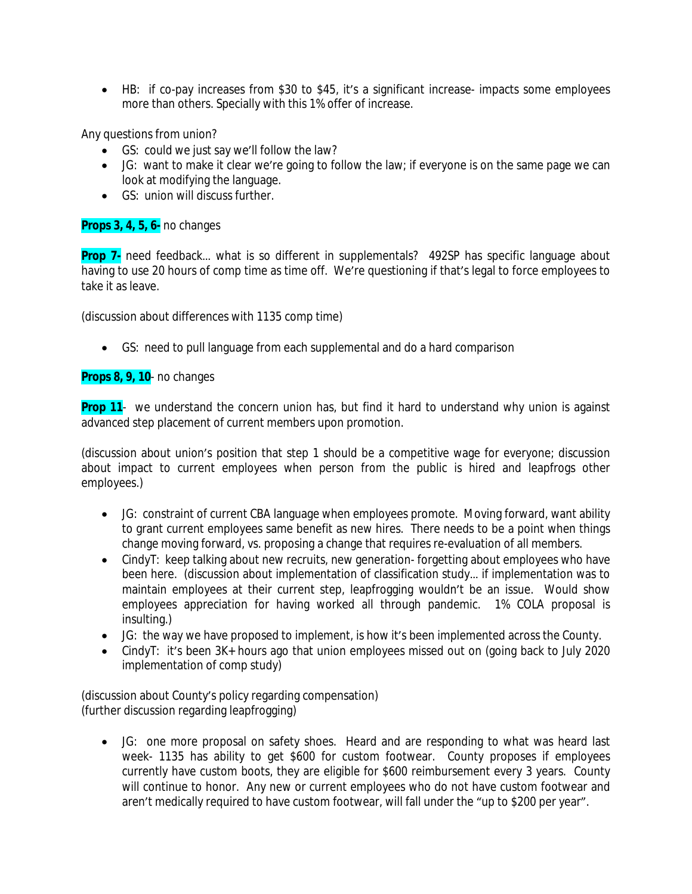HB: if co-pay increases from \$30 to \$45, it's a significant increase- impacts some employees more than others. Specially with this 1% offer of increase.

Any questions from union?

- GS: could we just say we'll follow the law?
- JG: want to make it clear we're going to follow the law; if everyone is on the same page we can look at modifying the language.
- GS: union will discuss further

### **Props 3, 4, 5, 6-** no changes

**Prop 7-** need feedback… what is so different in supplementals? 492SP has specific language about having to use 20 hours of comp time as time off. We're questioning if that's legal to force employees to take it as leave.

(discussion about differences with 1135 comp time)

GS: need to pull language from each supplemental and do a hard comparison

### **Props 8, 9, 10**- no changes

**Prop 11**- we understand the concern union has, but find it hard to understand why union is against advanced step placement of current members upon promotion.

(discussion about union's position that step 1 should be a competitive wage for everyone; discussion about impact to current employees when person from the public is hired and leapfrogs other employees.)

- JG: constraint of current CBA language when employees promote. Moving forward, want ability to grant current employees same benefit as new hires. There needs to be a point when things change moving forward, vs. proposing a change that requires re-evaluation of all members.
- CindyT: keep talking about new recruits, new generation-forgetting about employees who have been here. (discussion about implementation of classification study… if implementation was to maintain employees at their current step, leapfrogging wouldn't be an issue. Would show employees appreciation for having worked all through pandemic. 1% COLA proposal is insulting.)
- JG: the way we have proposed to implement, is how it's been implemented across the County.
- CindyT: it's been 3K+ hours ago that union employees missed out on (going back to July 2020 implementation of comp study)

(discussion about County's policy regarding compensation) (further discussion regarding leapfrogging)

 JG: one more proposal on safety shoes. Heard and are responding to what was heard last week- 1135 has ability to get \$600 for custom footwear. County proposes if employees currently have custom boots, they are eligible for \$600 reimbursement every 3 years. County will continue to honor. Any new or current employees who do not have custom footwear and aren't medically required to have custom footwear, will fall under the "up to \$200 per year".